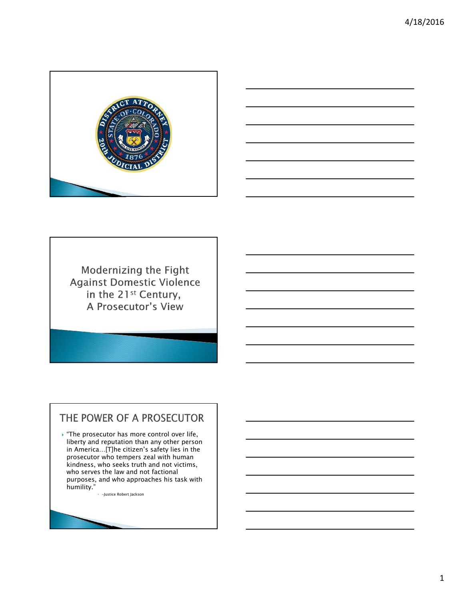



Modernizing the Fight **Against Domestic Violence** in the 21<sup>st</sup> Century, A Prosecutor's View

## THE POWER OF A PROSECUTOR

 $\blacktriangleright$  "The prosecutor has more control over life, liberty and reputation than any other person in America…[T]he citizen's safety lies in the prosecutor who tempers zeal with human kindness, who seeks truth and not victims, who serves the law and not factional purposes, and who approaches his task with humility."

-Justice Robert Jackson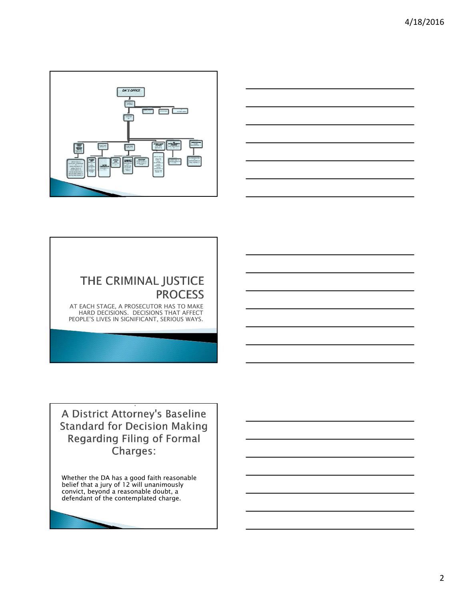



# THE CRIMINAL JUSTICE **PROCESS**

AT EACH STAGE, A PROSECUTOR HAS TO MAKE HARD DECISIONS. DECISIONS THAT AFFECT PEOPLE'S LIVES IN SIGNIFICANT, SERIOUS WAYS.

A District Attorney's Baseline **Standard for Decision Making Regarding Filing of Formal** Charges:

Whether the DA has a good faith reasonable belief that a jury of 12 will unanimously convict, beyond a reasonable doubt, a defendant of the contemplated charge.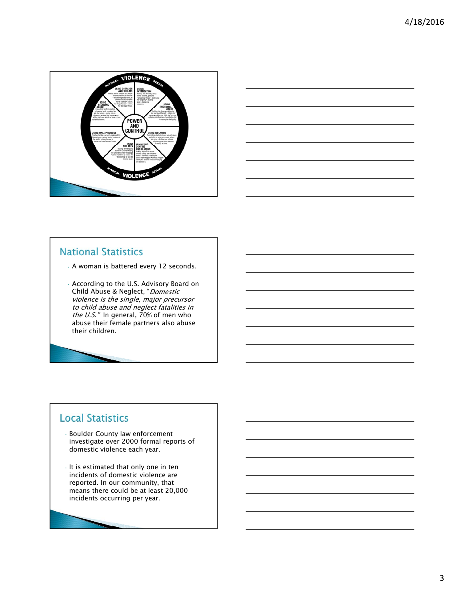



### **National Statistics**

- A woman is battered every 12 seconds.
- According to the U.S. Advisory Board on Child Abuse & Neglect, "Domestic violence is the single, major precursor to child abuse and neglect fatalities in the U.S." In general,  $70\%$  of men who abuse their female partners also abuse their children.

### **Local Statistics**

- Boulder County law enforcement investigate over 2000 formal reports of domestic violence each year.
- It is estimated that only one in ten incidents of domestic violence are reported. In our community, that means there could be at least 20,000 incidents occurring per year.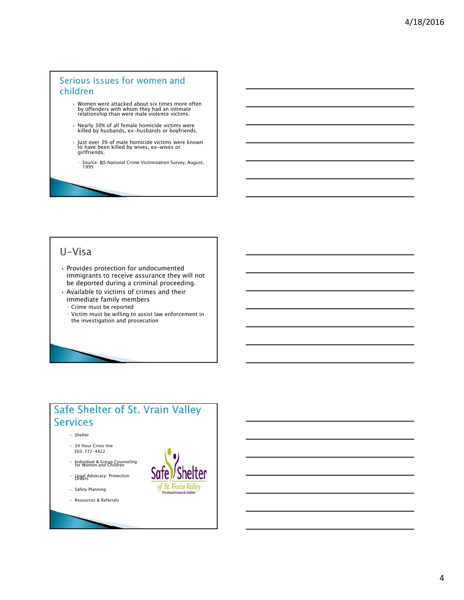#### Serious issues for women and children

- Women were attacked about six times more often by offenders with whom they had an intimate relationship than were male violence victims.
- Nearly 30% of all female homicide victims were killed by husbands, ex-husbands or boyfriends.
- Just over 3% of male homicide victims were known to have been killed by wives, ex-wives or girlfriends.
	- ∘ Source: BJS National Crime Victimization Survey, August,<br>∃995

### U-Visa

- Provides protection for undocumented immigrants to receive assurance they will not be deported during a criminal proceeding.
- Available to victims of crimes and their immediate family members
- Crime must be reported
- Victim must be willing to assist law enforcement in the investigation and prosecution

### Safe Shelter of St. Vrain Valley **Services**

- Shelter
- ▶ 24 Hour Crisis line 303-772-4422
- Individual & Group Counseling for Women and Children
- Legal Advocacy: Protection Orders
- Safety Planning
- Resources & Referrals